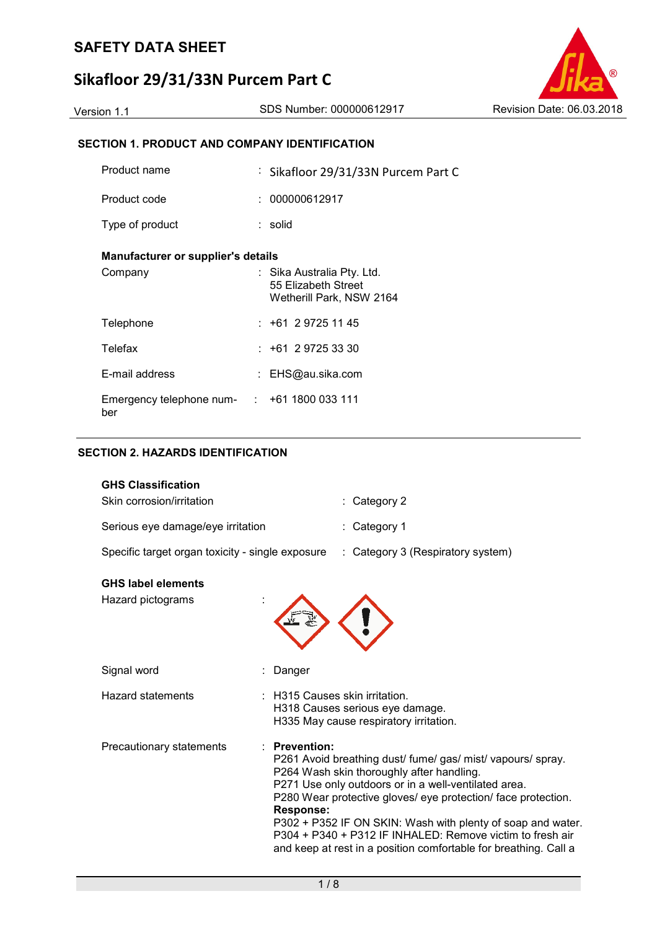## **SAFETY DATA SHEET**

# **Sikafloor 29/31/33N Purcem Part C**

## Version 1.1 SDS Number: 000000612917 Revision Date: 06.03.2018

### **SECTION 1. PRODUCT AND COMPANY IDENTIFICATION**

| Product name                                             | : Sikafloor 29/31/33N Purcem Part C                                           |  |
|----------------------------------------------------------|-------------------------------------------------------------------------------|--|
| Product code                                             | : 000000612917                                                                |  |
| Type of product                                          | : solid                                                                       |  |
| Manufacturer or supplier's details                       |                                                                               |  |
| Company                                                  | : Sika Australia Pty. Ltd.<br>55 Elizabeth Street<br>Wetherill Park, NSW 2164 |  |
| Telephone                                                | $: +61297251145$                                                              |  |
| Telefax                                                  | $: +61297253330$                                                              |  |
| E-mail address                                           | : EHS@au.sika.com                                                             |  |
| Emergency telephone num- $\cdot$ +61 1800 033 111<br>ber |                                                                               |  |

#### **SECTION 2. HAZARDS IDENTIFICATION**

| <b>GHS Classification</b><br>Skin corrosion/irritation |                                        | : Category 2                                                                                                                                                                                                                                                                                                                                                                                                                     |
|--------------------------------------------------------|----------------------------------------|----------------------------------------------------------------------------------------------------------------------------------------------------------------------------------------------------------------------------------------------------------------------------------------------------------------------------------------------------------------------------------------------------------------------------------|
| Serious eye damage/eye irritation                      |                                        | Category 1                                                                                                                                                                                                                                                                                                                                                                                                                       |
| Specific target organ toxicity - single exposure       |                                        | : Category 3 (Respiratory system)                                                                                                                                                                                                                                                                                                                                                                                                |
| <b>GHS label elements</b><br>Hazard pictograms         |                                        |                                                                                                                                                                                                                                                                                                                                                                                                                                  |
| Signal word                                            | Danger                                 |                                                                                                                                                                                                                                                                                                                                                                                                                                  |
| <b>Hazard statements</b>                               |                                        | <b>H315 Causes skin irritation.</b><br>H318 Causes serious eye damage.<br>H335 May cause respiratory irritation.                                                                                                                                                                                                                                                                                                                 |
| Precautionary statements                               | <b>Prevention:</b><br><b>Response:</b> | P261 Avoid breathing dust/ fume/gas/ mist/ vapours/ spray.<br>P264 Wash skin thoroughly after handling.<br>P271 Use only outdoors or in a well-ventilated area.<br>P280 Wear protective gloves/ eye protection/ face protection.<br>P302 + P352 IF ON SKIN: Wash with plenty of soap and water.<br>P304 + P340 + P312 IF INHALED: Remove victim to fresh air<br>and keep at rest in a position comfortable for breathing. Call a |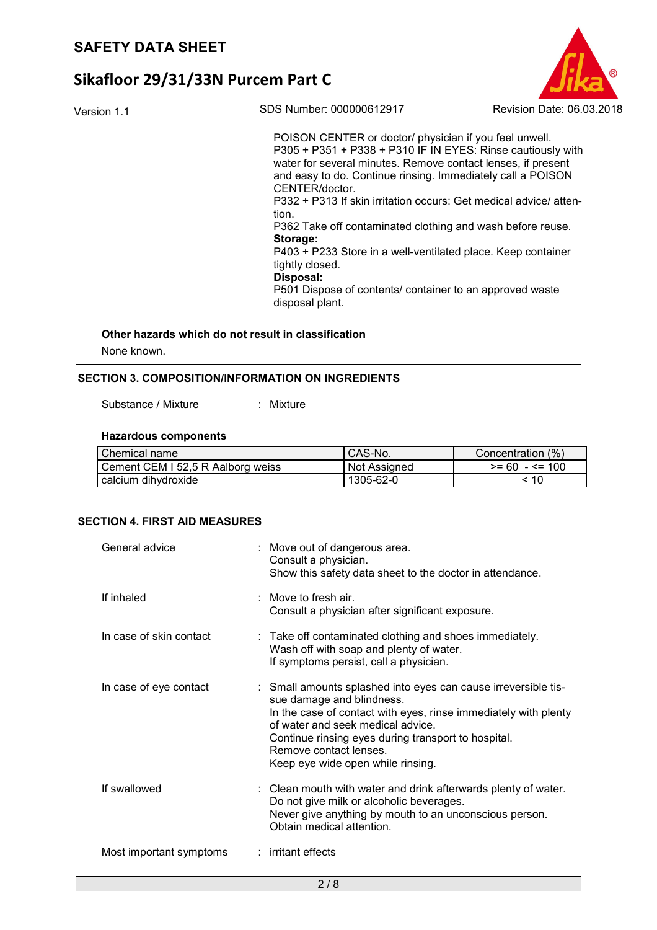

Version 1.1 SDS Number: 000000612917 Revision Date: 06.03.2018

POISON CENTER or doctor/ physician if you feel unwell. P305 + P351 + P338 + P310 IF IN EYES: Rinse cautiously with water for several minutes. Remove contact lenses, if present and easy to do. Continue rinsing. Immediately call a POISON CENTER/doctor. P332 + P313 If skin irritation occurs: Get medical advice/ attention. P362 Take off contaminated clothing and wash before reuse. **Storage:** 

P403 + P233 Store in a well-ventilated place. Keep container tightly closed.

### **Disposal:**

P501 Dispose of contents/ container to an approved waste disposal plant.

# **Other hazards which do not result in classification**

None known.

#### **SECTION 3. COMPOSITION/INFORMATION ON INGREDIENTS**

Substance / Mixture : Mixture

#### **Hazardous components**

| Chemical name                     | CAS-No.      | Concentration (%) |
|-----------------------------------|--------------|-------------------|
| Cement CEM I 52,5 R Aalborg weiss | Not Assigned | $>= 60 - 5 = 100$ |
| calcium dihydroxide               | 1305-62-0    | < 10              |

#### **SECTION 4. FIRST AID MEASURES**

| General advice          | : Move out of dangerous area.<br>Consult a physician.<br>Show this safety data sheet to the doctor in attendance.                                                                                                                                                                                                         |
|-------------------------|---------------------------------------------------------------------------------------------------------------------------------------------------------------------------------------------------------------------------------------------------------------------------------------------------------------------------|
| If inhaled              | : Move to fresh air.<br>Consult a physician after significant exposure.                                                                                                                                                                                                                                                   |
| In case of skin contact | : Take off contaminated clothing and shoes immediately.<br>Wash off with soap and plenty of water.<br>If symptoms persist, call a physician.                                                                                                                                                                              |
| In case of eye contact  | : Small amounts splashed into eyes can cause irreversible tis-<br>sue damage and blindness.<br>In the case of contact with eyes, rinse immediately with plenty<br>of water and seek medical advice.<br>Continue rinsing eyes during transport to hospital.<br>Remove contact lenses.<br>Keep eye wide open while rinsing. |
| If swallowed            | : Clean mouth with water and drink afterwards plenty of water.<br>Do not give milk or alcoholic beverages.<br>Never give anything by mouth to an unconscious person.<br>Obtain medical attention.                                                                                                                         |
| Most important symptoms | : irritant effects                                                                                                                                                                                                                                                                                                        |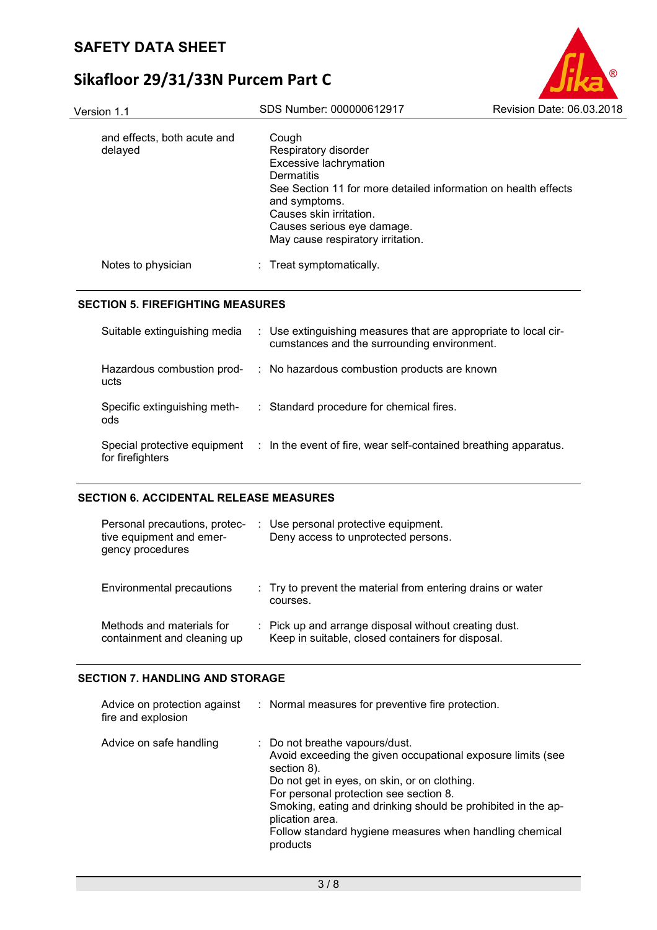| Version 1.1                            | SDS Number: 000000612917                                                                                                                                                                                                                               | Revision Date: 06.03.2018 |
|----------------------------------------|--------------------------------------------------------------------------------------------------------------------------------------------------------------------------------------------------------------------------------------------------------|---------------------------|
| and effects, both acute and<br>delayed | Cough<br>Respiratory disorder<br>Excessive lachrymation<br>Dermatitis<br>See Section 11 for more detailed information on health effects<br>and symptoms.<br>Causes skin irritation.<br>Causes serious eye damage.<br>May cause respiratory irritation. |                           |
| Notes to physician                     | : Treat symptomatically.                                                                                                                                                                                                                               |                           |
|                                        |                                                                                                                                                                                                                                                        |                           |

#### **SECTION 5. FIREFIGHTING MEASURES**

| Suitable extinguishing media                     | : Use extinguishing measures that are appropriate to local cir-<br>cumstances and the surrounding environment. |
|--------------------------------------------------|----------------------------------------------------------------------------------------------------------------|
| Hazardous combustion prod-<br>ucts               | : No hazardous combustion products are known                                                                   |
| Specific extinguishing meth-<br>ods              | : Standard procedure for chemical fires.                                                                       |
| Special protective equipment<br>for firefighters | $\therefore$ In the event of fire, wear self-contained breathing apparatus.                                    |

### **SECTION 6. ACCIDENTAL RELEASE MEASURES**

| Personal precautions, protec-<br>tive equipment and emer-<br>gency procedures | : Use personal protective equipment.<br>Deny access to unprotected persons.                                |
|-------------------------------------------------------------------------------|------------------------------------------------------------------------------------------------------------|
| Environmental precautions                                                     | : Try to prevent the material from entering drains or water<br>courses.                                    |
| Methods and materials for<br>containment and cleaning up                      | : Pick up and arrange disposal without creating dust.<br>Keep in suitable, closed containers for disposal. |

#### **SECTION 7. HANDLING AND STORAGE**

| Advice on protection against<br>fire and explosion | : Normal measures for preventive fire protection.                                                                                                                                                                                                                                                                                                                |
|----------------------------------------------------|------------------------------------------------------------------------------------------------------------------------------------------------------------------------------------------------------------------------------------------------------------------------------------------------------------------------------------------------------------------|
| Advice on safe handling                            | : Do not breathe vapours/dust.<br>Avoid exceeding the given occupational exposure limits (see<br>section 8).<br>Do not get in eyes, on skin, or on clothing.<br>For personal protection see section 8.<br>Smoking, eating and drinking should be prohibited in the ap-<br>plication area.<br>Follow standard hygiene measures when handling chemical<br>products |

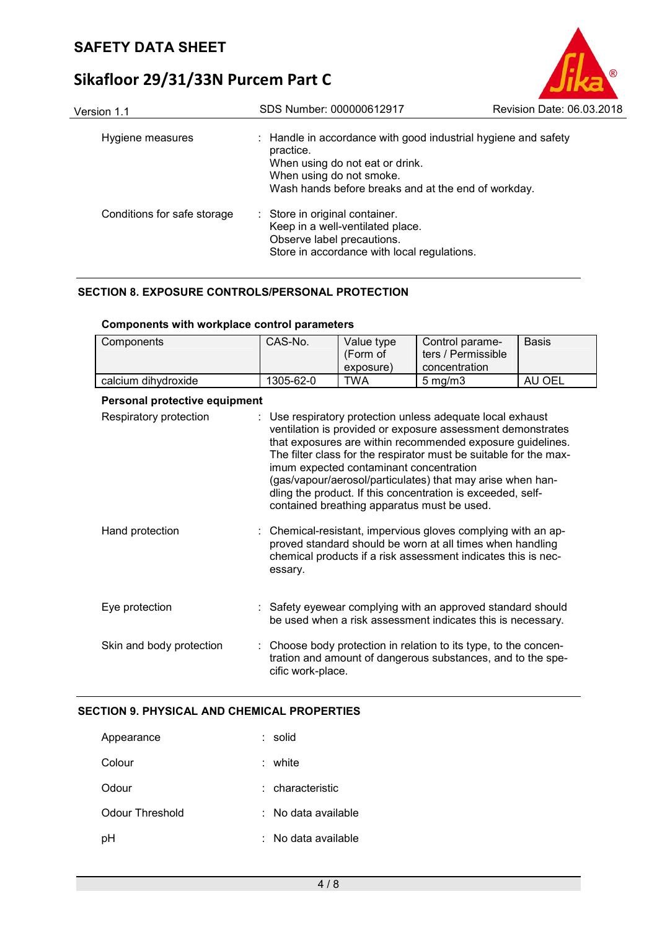| Version 1.1                 | SDS Number: 000000612917                                                                                                                                                                          | Revision Date: 06.03.2018 |
|-----------------------------|---------------------------------------------------------------------------------------------------------------------------------------------------------------------------------------------------|---------------------------|
| Hygiene measures            | : Handle in accordance with good industrial hygiene and safety<br>practice.<br>When using do not eat or drink.<br>When using do not smoke.<br>Wash hands before breaks and at the end of workday. |                           |
| Conditions for safe storage | : Store in original container.<br>Keep in a well-ventilated place.<br>Observe label precautions.<br>Store in accordance with local regulations.                                                   |                           |

#### **SECTION 8. EXPOSURE CONTROLS/PERSONAL PROTECTION**

| Components                    | CAS-No.                                                                                                                                                                                                                                                                                                                                                                                                                                                                             | Value type | Control parame-                                                                                                                 | <b>Basis</b> |
|-------------------------------|-------------------------------------------------------------------------------------------------------------------------------------------------------------------------------------------------------------------------------------------------------------------------------------------------------------------------------------------------------------------------------------------------------------------------------------------------------------------------------------|------------|---------------------------------------------------------------------------------------------------------------------------------|--------------|
|                               |                                                                                                                                                                                                                                                                                                                                                                                                                                                                                     | (Form of   | ters / Permissible                                                                                                              |              |
|                               |                                                                                                                                                                                                                                                                                                                                                                                                                                                                                     |            |                                                                                                                                 |              |
|                               |                                                                                                                                                                                                                                                                                                                                                                                                                                                                                     | exposure)  | concentration                                                                                                                   |              |
| calcium dihydroxide           | 1305-62-0                                                                                                                                                                                                                                                                                                                                                                                                                                                                           | <b>TWA</b> | $5$ mg/m $3$                                                                                                                    | AU OEL       |
| Personal protective equipment |                                                                                                                                                                                                                                                                                                                                                                                                                                                                                     |            |                                                                                                                                 |              |
| Respiratory protection        | : Use respiratory protection unless adequate local exhaust<br>ventilation is provided or exposure assessment demonstrates<br>that exposures are within recommended exposure guidelines.<br>The filter class for the respirator must be suitable for the max-<br>imum expected contaminant concentration<br>(gas/vapour/aerosol/particulates) that may arise when han-<br>dling the product. If this concentration is exceeded, self-<br>contained breathing apparatus must be used. |            |                                                                                                                                 |              |
| Hand protection               | : Chemical-resistant, impervious gloves complying with an ap-<br>proved standard should be worn at all times when handling<br>chemical products if a risk assessment indicates this is nec-<br>essary.                                                                                                                                                                                                                                                                              |            |                                                                                                                                 |              |
| Eye protection                |                                                                                                                                                                                                                                                                                                                                                                                                                                                                                     |            | : Safety eyewear complying with an approved standard should<br>be used when a risk assessment indicates this is necessary.      |              |
| Skin and body protection      | cific work-place.                                                                                                                                                                                                                                                                                                                                                                                                                                                                   |            | : Choose body protection in relation to its type, to the concen-<br>tration and amount of dangerous substances, and to the spe- |              |

#### **Components with workplace control parameters**

### **SECTION 9. PHYSICAL AND CHEMICAL PROPERTIES**

| Appearance      | : solid             |
|-----------------|---------------------|
| Colour          | white               |
| Odour           | : characteristic    |
| Odour Threshold | : No data available |
| pH              | No data available   |

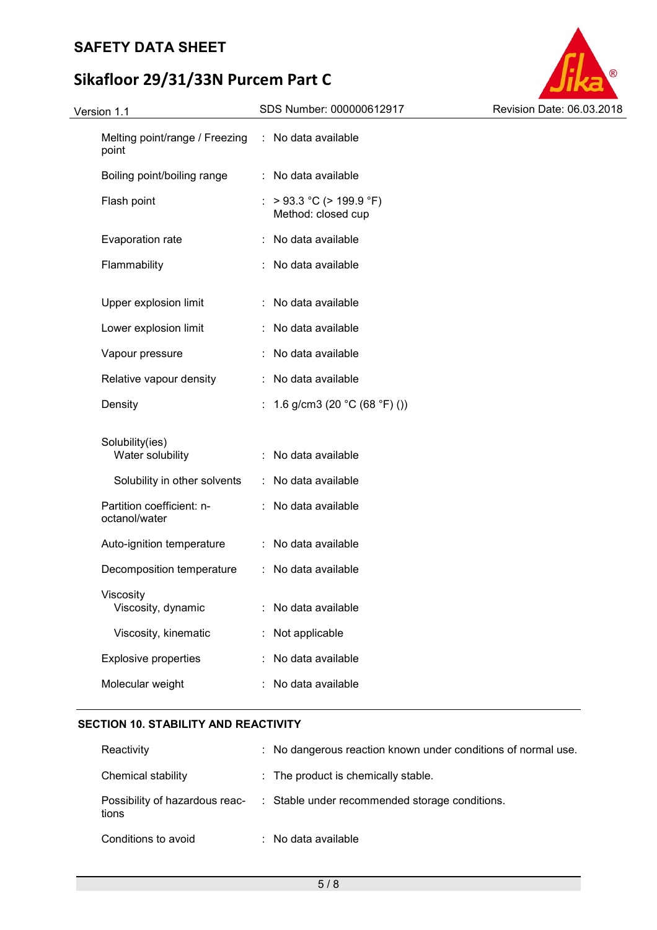## **SAFETY DATA SHEET**

# **Sikafloor 29/31/33N Purcem Part C**

| Version 1.1 |                                            | SDS Number: 000000612917                       | Revision Date: 06.03.2018 |  |
|-------------|--------------------------------------------|------------------------------------------------|---------------------------|--|
|             | Melting point/range / Freezing<br>point    | : No data available                            |                           |  |
|             | Boiling point/boiling range                | : No data available                            |                           |  |
|             | Flash point                                | : > 93.3 °C (> 199.9 °F)<br>Method: closed cup |                           |  |
|             | Evaporation rate                           | : No data available                            |                           |  |
|             | Flammability                               | : No data available                            |                           |  |
|             | Upper explosion limit                      | : No data available                            |                           |  |
|             | Lower explosion limit                      | : No data available                            |                           |  |
|             | Vapour pressure                            | : No data available                            |                           |  |
|             | Relative vapour density                    | : No data available                            |                           |  |
|             | Density                                    | : 1.6 g/cm3 (20 °C (68 °F) ())                 |                           |  |
|             | Solubility(ies)<br>Water solubility        | : No data available                            |                           |  |
|             | Solubility in other solvents               | : No data available                            |                           |  |
|             | Partition coefficient: n-<br>octanol/water | : No data available                            |                           |  |
|             | Auto-ignition temperature                  | : No data available                            |                           |  |
|             | Decomposition temperature                  | : No data available                            |                           |  |
|             | Viscosity<br>Viscosity, dynamic            | No data available                              |                           |  |
|             | Viscosity, kinematic                       | Not applicable                                 |                           |  |
|             | <b>Explosive properties</b>                | No data available                              |                           |  |
|             | Molecular weight                           | No data available                              |                           |  |
|             |                                            |                                                |                           |  |

a ®

#### **SECTION 10. STABILITY AND REACTIVITY**

| Reactivity                              | : No dangerous reaction known under conditions of normal use. |
|-----------------------------------------|---------------------------------------------------------------|
| Chemical stability                      | : The product is chemically stable.                           |
| Possibility of hazardous reac-<br>tions | : Stable under recommended storage conditions.                |
| Conditions to avoid                     | $\therefore$ No data available                                |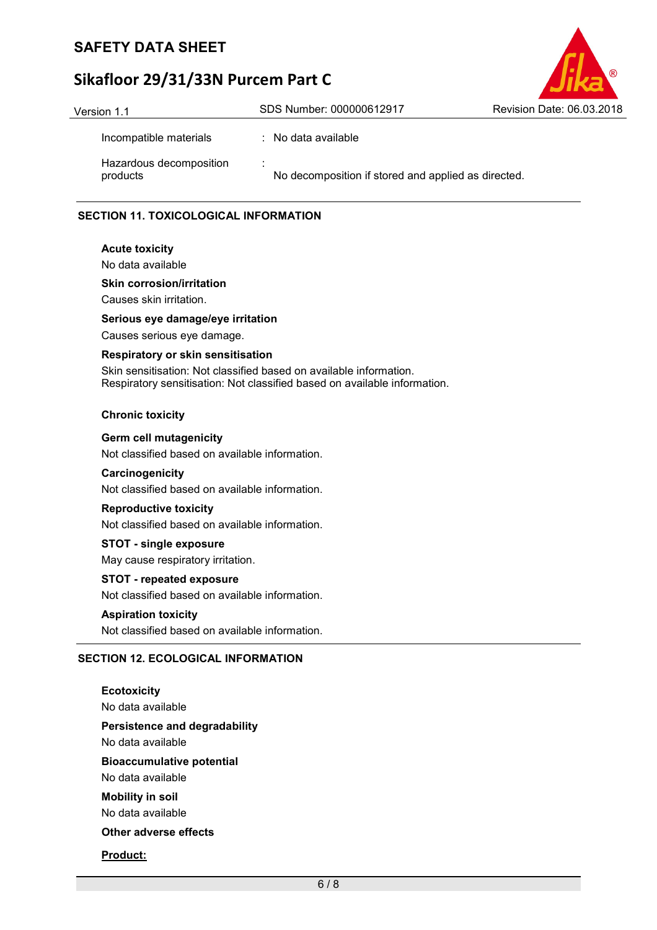## **SAFETY DATA SHEET**

# **Sikafloor 29/31/33N Purcem Part C**



| <b>GIOIUII</b> I.I                  |                                                                                 |  |
|-------------------------------------|---------------------------------------------------------------------------------|--|
| Incompatible materials              | : No data available                                                             |  |
| Hazardous decomposition<br>products | $\overline{\phantom{a}}$<br>No decomposition if stored and applied as directed. |  |

#### **SECTION 11. TOXICOLOGICAL INFORMATION**

## **Acute toxicity**

No data available

#### **Skin corrosion/irritation**

Causes skin irritation.

#### **Serious eye damage/eye irritation**

Causes serious eye damage.

#### **Respiratory or skin sensitisation**

Skin sensitisation: Not classified based on available information. Respiratory sensitisation: Not classified based on available information.

#### **Chronic toxicity**

#### **Germ cell mutagenicity**

Not classified based on available information.

#### **Carcinogenicity**

Not classified based on available information.

#### **Reproductive toxicity**

Not classified based on available information.

#### **STOT - single exposure**

May cause respiratory irritation.

#### **STOT - repeated exposure**

Not classified based on available information.

#### **Aspiration toxicity**

Not classified based on available information.

#### **SECTION 12. ECOLOGICAL INFORMATION**

**Ecotoxicity**  No data available **Persistence and degradability**  No data available **Bioaccumulative potential**  No data available **Mobility in soil**  No data available **Other adverse effects Product:**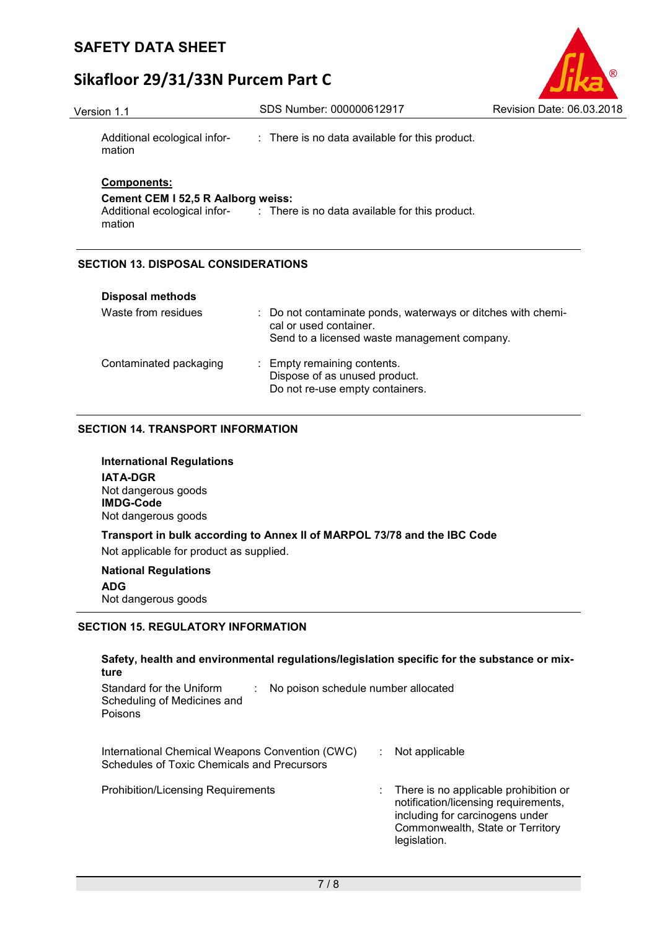

Version 1.1 SDS Number: 000000612917 Revision Date: 06.03.2018

Additional ecological information : There is no data available for this product.

### **Components:**

**Cement CEM I 52,5 R Aalborg weiss:** 

Additional ecological infor-: There is no data available for this product. mation

### **SECTION 13. DISPOSAL CONSIDERATIONS**

| <b>Disposal methods</b> |                                                                                                                                        |
|-------------------------|----------------------------------------------------------------------------------------------------------------------------------------|
| Waste from residues     | : Do not contaminate ponds, waterways or ditches with chemi-<br>cal or used container.<br>Send to a licensed waste management company. |
| Contaminated packaging  | : Empty remaining contents.<br>Dispose of as unused product.<br>Do not re-use empty containers.                                        |

#### **SECTION 14. TRANSPORT INFORMATION**

**International Regulations IATA-DGR** Not dangerous goods **IMDG-Code** Not dangerous goods

**Transport in bulk according to Annex II of MARPOL 73/78 and the IBC Code**  Not applicable for product as supplied.

#### **National Regulations**

**ADG** Not dangerous goods

#### **SECTION 15. REGULATORY INFORMATION**

| Safety, health and environmental regulations/legislation specific for the substance or mix-<br>ture       |                                                                                                                                                                      |
|-----------------------------------------------------------------------------------------------------------|----------------------------------------------------------------------------------------------------------------------------------------------------------------------|
| Standard for the Uniform<br>No poison schedule number allocated<br>Scheduling of Medicines and<br>Poisons |                                                                                                                                                                      |
| International Chemical Weapons Convention (CWC)<br>Schedules of Toxic Chemicals and Precursors            | Not applicable                                                                                                                                                       |
| <b>Prohibition/Licensing Requirements</b>                                                                 | There is no applicable prohibition or<br>notification/licensing requirements,<br>including for carcinogens under<br>Commonwealth, State or Territory<br>legislation. |